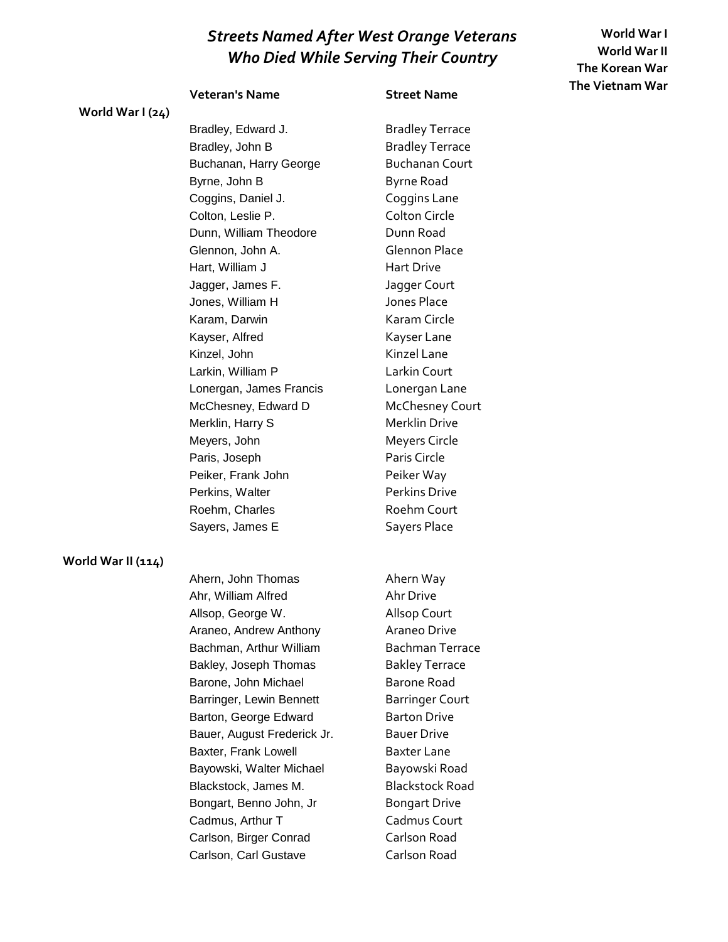**World War I World War II The Korean War The Vietnam War**

### **Veteran's Name Street Name**

Bradley, Edward J. Bradley Terrace Bradley, John B Bradley Terrace Buchanan, Harry George Buchanan Court Byrne, John B Byrne Road Coggins, Daniel J. Coggins Lane Colton, Leslie P. Colton Circle Dunn, William Theodore **Dunn Road** Glennon, John A. Glennon Place Hart, William J Hart Drive Jagger, James F. Jagger Court Jones, William H Jones Place Karam, Darwin **Karam Circle** Kayser, Alfred Kayser Lane Kinzel, John Kinzel Lane Larkin, William P Larkin Court Lonergan, James Francis Lonergan Lane McChesney, Edward D McChesney Court Merklin, Harry S<br>
Merklin Drive Meyers, John Meyers Circle Paris, Joseph Paris Circle Peiker, Frank John Peiker Way Perkins, Walter **Perkins** Drive Roehm, Charles Roehm Court Sayers, James E Sayers Place

#### **World War II (114)**

**World War I (24)**

Ahern, John Thomas **Ahern Way** Ahr, William Alfred Ahr Drive Allsop, George W. Allsop Court Araneo, Andrew Anthony **Araneo Drive** Bachman, Arthur William Bachman Terrace Bakley, Joseph Thomas Bakley Terrace Barone, John Michael Barone Road Barringer, Lewin Bennett Barringer Court Barton, George Edward Barton Drive Bauer, August Frederick Jr. Bauer Drive Baxter, Frank Lowell Baxter Lane Bayowski, Walter Michael Bayowski Road Blackstock, James M. Blackstock Road Bongart, Benno John, Jr Bongart Drive Cadmus, Arthur T Cadmus Court Carlson, Birger Conrad Carlson Road Carlson, Carl Gustave Carlson Road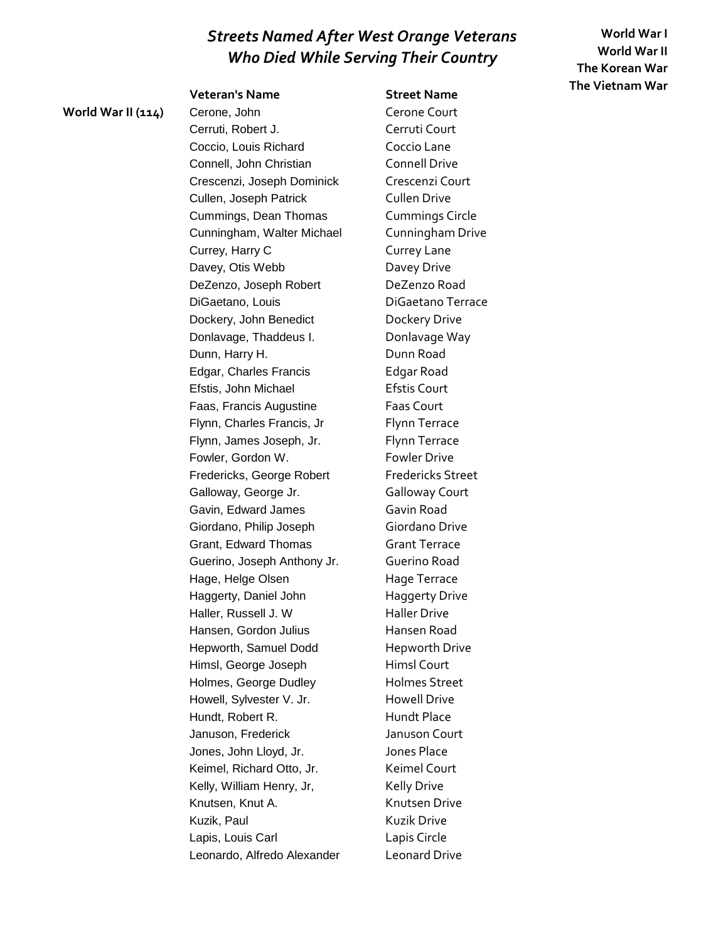**Veteran's Name Street Name**

**World War I World War II The Korean War The Vietnam War**

World War II (114) Cerone, John Cerone Court Cerruti, Robert J. Cerruti Court Coccio, Louis Richard Coccio Lane Connell, John Christian Connell Drive Crescenzi, Joseph Dominick Crescenzi Court Cullen, Joseph Patrick Cullen Drive Cummings, Dean Thomas Cummings Circle Cunningham, Walter Michael Cunningham Drive Currey, Harry C Currey Lane Davey, Otis Webb Davey Drive DeZenzo, Joseph Robert DeZenzo Road DiGaetano, Louis DiGaetano Terrace Dockery, John Benedict Dockery Drive Donlavage, Thaddeus I. Donlavage Way Dunn, Harry H. Dunn Road Edgar, Charles Francis Edgar Road Efstis, John Michael **Efstis Court** Faas, Francis Augustine Faas Court Flynn, Charles Francis, Jr Flynn Terrace Flynn, James Joseph, Jr. Flynn Terrace Fowler, Gordon W. Fowler Drive Fredericks, George Robert Fredericks Street Galloway, George Jr. **Galloway Court** Gavin, Edward James Gavin Road Giordano, Philip Joseph Giordano Drive Grant, Edward Thomas Grant Terrace Guerino, Joseph Anthony Jr. Guerino Road Hage, Helge Olsen Hage Terrace Haggerty, Daniel John Haggerty Drive Haller, Russell J. W Haller Drive Hansen, Gordon Julius Hansen Road Hepworth, Samuel Dodd Hepworth Drive Himsl, George Joseph Himsl Court Holmes, George Dudley Holmes Street Howell, Sylvester V. Jr. Howell Drive Hundt, Robert R. Hundt Place Januson, Frederick Januson Court Jones, John Lloyd, Jr. Jones Place Keimel, Richard Otto, Jr. Keimel Court Kelly, William Henry, Jr, Kelly Drive Knutsen, Knut A. Knutsen Drive Kuzik, Paul **Kuzik Drive** Lapis, Louis Carl Lapis Circle Leonardo, Alfredo Alexander Leonard Drive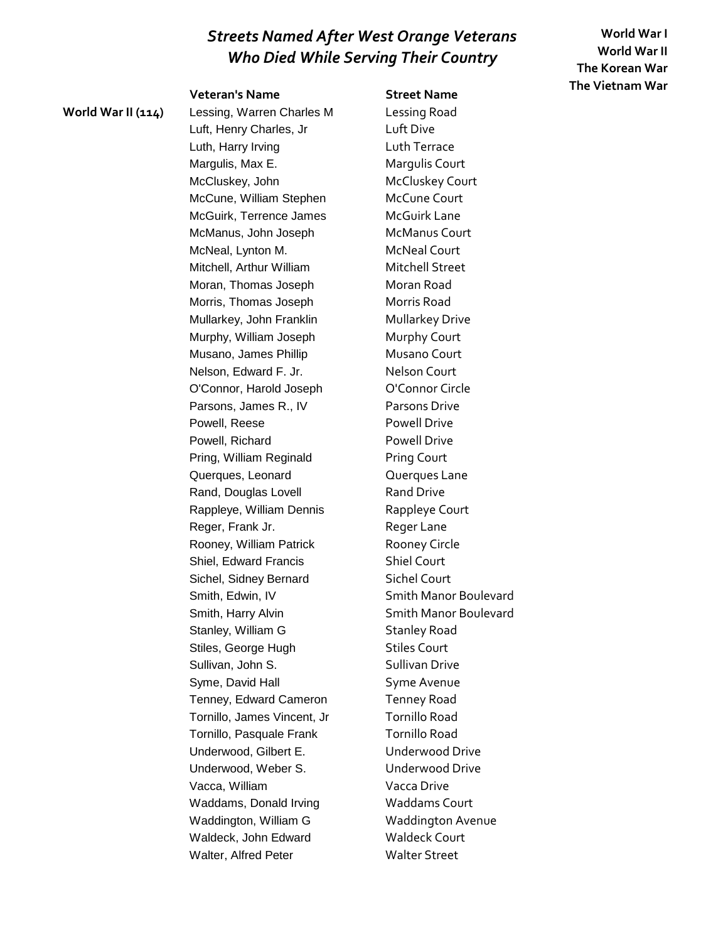**World War I World War II The Korean War The Vietnam War**

### **Veteran's Name Street Name**

**World War II (114)** Lessing, Warren Charles M Lessing Road Luft, Henry Charles, Jr Luft Dive Luth, Harry Irving **Luth Terrace** Margulis, Max E. Margulis Court McCluskey, John McCluskey Court McCune, William Stephen McCune Court McGuirk, Terrence James McGuirk Lane McManus, John Joseph McManus Court McNeal, Lynton M. McNeal Court Mitchell, Arthur William Mitchell Street Moran, Thomas Joseph Moran Road Morris, Thomas Joseph Morris Road Mullarkey, John Franklin Mullarkey Drive Murphy, William Joseph Murphy Court Musano, James Phillip **Musano Court** Nelson, Edward F. Jr. Nelson Court O'Connor, Harold Joseph O'Connor Circle Parsons, James R., IV Parsons Drive Powell, Reese Powell Drive Powell, Richard Powell Drive Pring, William Reginald Pring Court Querques, Leonard **Querques Lane** Rand, Douglas Lovell Rand Drive Rappleye, William Dennis Rappleye Court Reger, Frank Jr. Reger Lane Rooney, William Patrick Rooney Circle Shiel, Edward Francis Shiel Court Sichel, Sidney Bernard Sichel Court Smith, Edwin, IV Smith Manor Boulevard Smith, Harry Alvin Smith Manor Boulevard Stanley, William G Stanley Road Stiles, George Hugh Stiles Court Sullivan, John S. Sullivan Drive Syme, David Hall Syme Avenue Tenney, Edward Cameron Tenney Road Tornillo, James Vincent, Jr Tornillo Road Tornillo, Pasquale Frank Tornillo Road Underwood, Gilbert E. **Underwood Drive** Underwood, Weber S. Underwood Drive Vacca, William Vacca Drive Waddams, Donald Irving Waddams Court Waddington, William G Waddington Avenue Waldeck, John Edward Waldeck Court Walter, Alfred Peter Walter Street